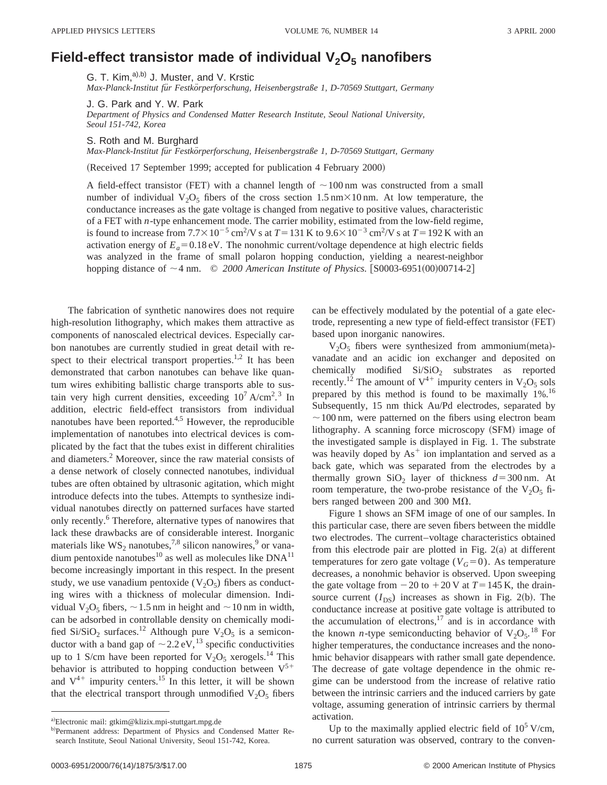## **Field-effect transistor made of individual V<sub>2</sub>O<sub>5</sub> nanofibers**

G. T. Kim,<sup>a),b)</sup> J. Muster, and V. Krstic

*Max-Planck-Institut fu¨r Festko¨rperforschung, Heisenbergstraße 1, D-70569 Stuttgart, Germany*

J. G. Park and Y. W. Park

*Department of Physics and Condensed Matter Research Institute, Seoul National University, Seoul 151-742, Korea*

S. Roth and M. Burghard

*Max-Planck-Institut fu¨r Festko¨rperforschung, Heisenbergstraße 1, D-70569 Stuttgart, Germany*

(Received 17 September 1999; accepted for publication 4 February 2000)

A field-effect transistor (FET) with a channel length of  $\sim$  100 nm was constructed from a small number of individual  $V_2O_5$  fibers of the cross section 1.5 nm $\times$ 10 nm. At low temperature, the conductance increases as the gate voltage is changed from negative to positive values, characteristic of a FET with *n*-type enhancement mode. The carrier mobility, estimated from the low-field regime, is found to increase from  $7.7 \times 10^{-5}$  cm<sup>2</sup>/V s at  $T = 131$  K to  $9.6 \times 10^{-3}$  cm<sup>2</sup>/V s at  $T = 192$  K with an activation energy of  $E_a$ =0.18 eV. The nonohmic current/voltage dependence at high electric fields was analyzed in the frame of small polaron hopping conduction, yielding a nearest-neighbor hopping distance of  $\sim$  4 nm.  $\degree$  *2000 American Institute of Physics.* [S0003-6951(00)00714-2]

The fabrication of synthetic nanowires does not require high-resolution lithography, which makes them attractive as components of nanoscaled electrical devices. Especially carbon nanotubes are currently studied in great detail with respect to their electrical transport properties.<sup>1,2</sup> It has been demonstrated that carbon nanotubes can behave like quantum wires exhibiting ballistic charge transports able to sustain very high current densities, exceeding  $10^7$  A/cm<sup>2</sup>.<sup>3</sup> In addition, electric field-effect transistors from individual nanotubes have been reported. $4,5$  However, the reproducible implementation of nanotubes into electrical devices is complicated by the fact that the tubes exist in different chiralities and diameters.2 Moreover, since the raw material consists of a dense network of closely connected nanotubes, individual tubes are often obtained by ultrasonic agitation, which might introduce defects into the tubes. Attempts to synthesize individual nanotubes directly on patterned surfaces have started only recently.<sup>6</sup> Therefore, alternative types of nanowires that lack these drawbacks are of considerable interest. Inorganic materials like  $WS_2$  nanotubes,<sup>7,8</sup> silicon nanowires,<sup>9</sup> or vanadium pentoxide nanotubes<sup>10</sup> as well as molecules like  $DNA<sup>11</sup>$ become increasingly important in this respect. In the present study, we use vanadium pentoxide  $(V_2O_5)$  fibers as conducting wires with a thickness of molecular dimension. Individual  $V_2O_5$  fibers,  $\sim$  1.5 nm in height and  $\sim$  10 nm in width, can be adsorbed in controllable density on chemically modified Si/SiO<sub>2</sub> surfaces.<sup>12</sup> Although pure  $V_2O_5$  is a semiconductor with a band gap of  $\sim$  2.2 eV,<sup>13</sup> specific conductivities up to 1 S/cm have been reported for  $V_2O_5$  xerogels.<sup>14</sup> This behavior is attributed to hopping conduction between  $V^{5+}$ and  $V^{4+}$  impurity centers.<sup>15</sup> In this letter, it will be shown that the electrical transport through unmodified  $V_2O_5$  fibers can be effectively modulated by the potential of a gate electrode, representing a new type of field-effect transistor (FET) based upon inorganic nanowires.

 $V_2O_5$  fibers were synthesized from ammonium(meta)vanadate and an acidic ion exchanger and deposited on chemically modified  $Si/SiO<sub>2</sub>$  substrates as reported recently.<sup>12</sup> The amount of  $V^{4+}$  impurity centers in  $V_2O_5$  sols prepared by this method is found to be maximally 1%.16 Subsequently, 15 nm thick Au/Pd electrodes, separated by  $\sim$  100 nm, were patterned on the fibers using electron beam lithography. A scanning force microscopy (SFM) image of the investigated sample is displayed in Fig. 1. The substrate was heavily doped by  $As<sup>+</sup>$  ion implantation and served as a back gate, which was separated from the electrodes by a thermally grown SiO<sub>2</sub> layer of thickness  $d=300$  nm. At room temperature, the two-probe resistance of the  $V_2O_5$  fibers ranged between 200 and 300 M $\Omega$ .

Figure 1 shows an SFM image of one of our samples. In this particular case, there are seven fibers between the middle two electrodes. The current–voltage characteristics obtained from this electrode pair are plotted in Fig.  $2(a)$  at different temperatures for zero gate voltage ( $V<sub>G</sub>=0$ ). As temperature decreases, a nonohmic behavior is observed. Upon sweeping the gate voltage from  $-20$  to  $+20$  V at  $T=145$  K, the drainsource current  $(I_{DS})$  increases as shown in Fig. 2(b). The conductance increase at positive gate voltage is attributed to the accumulation of electrons, $17$  and is in accordance with the known *n*-type semiconducting behavior of  $V_2O_5$ .<sup>18</sup> For higher temperatures, the conductance increases and the nonohmic behavior disappears with rather small gate dependence. The decrease of gate voltage dependence in the ohmic regime can be understood from the increase of relative ratio between the intrinsic carriers and the induced carriers by gate voltage, assuming generation of intrinsic carriers by thermal activation.

Up to the maximally applied electric field of  $10^5$  V/cm, no current saturation was observed, contrary to the conven-

a)Electronic mail: gtkim@klizix.mpi-stuttgart.mpg.de

b)Permanent address: Department of Physics and Condensed Matter Research Institute, Seoul National University, Seoul 151-742, Korea.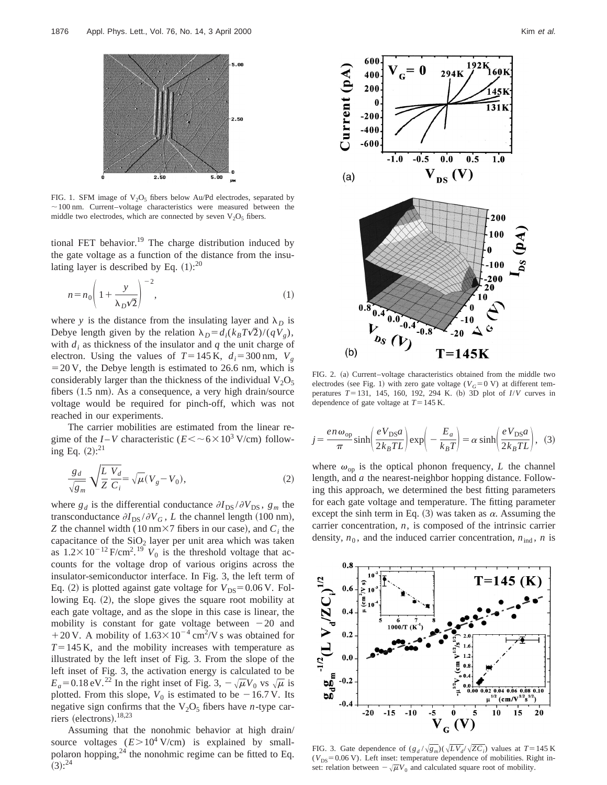

FIG. 1. SFM image of  $V_2O_5$  fibers below Au/Pd electrodes, separated by  $\sim$ 100 nm. Current–voltage characteristics were measured between the middle two electrodes, which are connected by seven  $V_2O_5$  fibers.

tional FET behavior.<sup>19</sup> The charge distribution induced by the gate voltage as a function of the distance from the insulating layer is described by Eq.  $(1)$ :<sup>20</sup>

$$
n = n_0 \left( 1 + \frac{y}{\lambda_D \sqrt{2}} \right)^{-2},\tag{1}
$$

where *y* is the distance from the insulating layer and  $\lambda_D$  is Debye length given by the relation  $\lambda_D = d_i(k_BT\sqrt{2})/(qV_g)$ , with  $d_i$  as thickness of the insulator and  $q$  the unit charge of electron. Using the values of  $T=145$  K,  $d_i=300$  nm,  $V_g$  $=20$  V, the Debye length is estimated to 26.6 nm, which is considerably larger than the thickness of the individual  $V_2O_5$ fibers  $(1.5 \text{ nm})$ . As a consequence, a very high drain/source voltage would be required for pinch-off, which was not reached in our experiments.

The carrier mobilities are estimated from the linear regime of the *I* – *V* characteristic ( $E < \sim 6 \times 10^3$  V/cm) following Eq.  $(2)$ :<sup>21</sup>

$$
\frac{g_d}{\sqrt{g_m}} \sqrt{\frac{L}{Z}} \frac{V_d}{C_i} = \sqrt{\mu} (V_g - V_0), \qquad (2)
$$

where  $g_d$  is the differential conductance  $\partial I_{DS} / \partial V_{DS}$ ,  $g_m$  the transconductance  $\partial I_{DS} / \partial V_G$ , *L* the channel length (100 nm), *Z* the channel width (10 nm $\times$ 7 fibers in our case), and  $C_i$  the capacitance of the  $SiO<sub>2</sub>$  layer per unit area which was taken as  $1.2 \times 10^{-12}$  F/cm<sup>2</sup>.<sup>19</sup>  $V_0$  is the threshold voltage that accounts for the voltage drop of various origins across the insulator-semiconductor interface. In Fig. 3, the left term of Eq. (2) is plotted against gate voltage for  $V_{DS} = 0.06$  V. Following Eq.  $(2)$ , the slope gives the square root mobility at each gate voltage, and as the slope in this case is linear, the mobility is constant for gate voltage between  $-20$  and +20 V. A mobility of  $1.63 \times 10^{-4}$  cm<sup>2</sup>/V s was obtained for  $T=145$  K, and the mobility increases with temperature as illustrated by the left inset of Fig. 3. From the slope of the left inset of Fig. 3, the activation energy is calculated to be  $E_a$ =0.18 eV.<sup>22</sup> In the right inset of Fig. 3,  $-\sqrt{\mu}V_0$  vs  $\sqrt{\mu}$  is plotted. From this slope,  $V_0$  is estimated to be  $-16.7$  V. Its negative sign confirms that the  $V_2O_5$  fibers have *n*-type carriers (electrons).<sup>18,23</sup>

Assuming that the nonohmic behavior at high drain/ source voltages  $(E > 10^4 \text{ V/cm})$  is explained by smallpolaron hopping, $^{24}$  the nonohmic regime can be fitted to Eq.  $(3)$ :  $^{24}$ 



FIG. 2. (a) Current–voltage characteristics obtained from the middle two electrodes (see Fig. 1) with zero gate voltage ( $V<sub>G</sub>=0$  V) at different temperatures *T*=131, 145, 160, 192, 294 K. (b) 3D plot of *I/V* curves in dependence of gate voltage at  $T=145$  K.

$$
j = \frac{e n \omega_{\rm op}}{\pi} \sinh\left(\frac{e V_{\rm DS} a}{2 k_B T L}\right) \exp\left(-\frac{E_a}{k_B T}\right) = \alpha \sinh\left(\frac{e V_{\rm DS} a}{2 k_B T L}\right), \tag{3}
$$

where  $\omega_{op}$  is the optical phonon frequency, *L* the channel length, and *a* the nearest-neighbor hopping distance. Following this approach, we determined the best fitting parameters for each gate voltage and temperature. The fitting parameter except the sinh term in Eq.  $(3)$  was taken as  $\alpha$ . Assuming the carrier concentration, *n*, is composed of the intrinsic carrier density,  $n_0$ , and the induced carrier concentration,  $n_{ind}$ , *n* is



FIG. 3. Gate dependence of  $(g_d/\sqrt{g_m})(\sqrt{LV_d}/\sqrt{ZC_i})$  values at  $T=145$  K  $(V_{DS} = 0.06 \text{ V})$ . Left inset: temperature dependence of mobilities. Right inset: relation between  $-\sqrt{\mu}V_0$  and calculated square root of mobility.